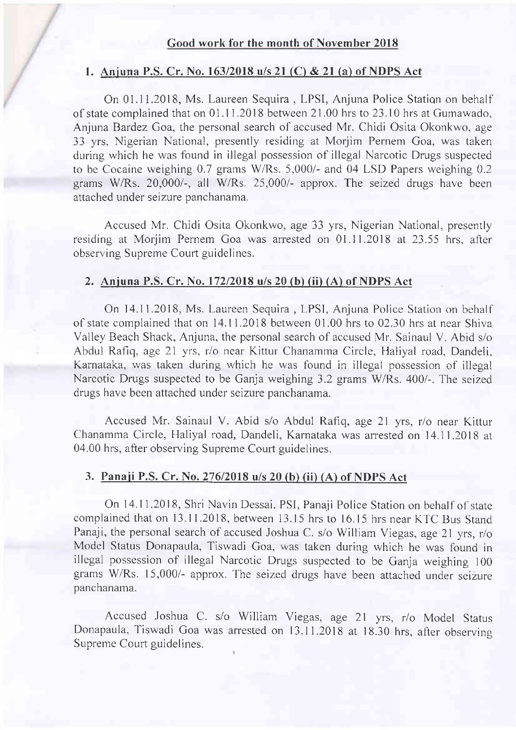### Good work for the month of November 2018

#### 1. Anjuna P.S. Cr. No. 163/2018 u/s 21 (C) & 21 (a) of NDPS Act

On 01.11.2018, Ms. Laureen Sequira , LPSI, Anjuna Police Statiqn on behalf of state complained that on 01.1 I .2018 between 21.00 hrs to 23.10 hrs at Gumawado, Anjuna Bardez Goa, the personal search of accused Mr. Chidi Osita Okonkwo, age 33 yrs, Nigerian National, presently residing at Morjim Pernem Goa, was taken during which he was found in illegal possession of illegal Narcotic Drugs suspected to be Cocaine weighing  $0.7$  grams W/Rs. 5,000/- and 04 LSD Papers weighing  $0.2$ grams W/Rs.  $20,000/$ -, all W/Rs.  $25,000/$ - approx. The seized drugs have been attached under seizure panchanama.

Accused Mr. Chidi Osita Okonkwo, age 33 yrs, Nigerian National, presently residing at Morjim Pernem Goa was arrested on 01.11.2018 at 23.55 hrs, after observing Suprerne Court guidelines.

### 2. Aniuna P.S. Cr. No. 17212018 u/s 20 (b) (ii) (A) of NDPS Act

On 14.11.2018, Ms. Laureen Sequira , LPSI, Anjuna Police Station on bchalf of state complained that on 14.11.2018 between 01.00 hrs to 02.30 hrs at near Shiva Valley Beach Shack, Anjuna, the personal search of accused Mr. Sainaul V. Abid s/o Abdul Rafiq, age 21 yrs, r/o near Kittur Chanamma Circle, Haliyal road, Dandeli, Karnataka, was taken during which he was found in illegal possession of illegal Narcotic Drugs suspected to be Ganja weighing 3.2 grams W/Rs. 400/-. The seized drugs have been attached under seizure panchanama.

Accused Mr. Sainaul V. Abid s/o Abdul Rafiq, age 2l yrs, r/o near Kittur Chanamma Circle, Haliyal road, Dandeli, Karnataka was arrested on 14.11.2018 at 04.00 hrs, after observing Supreme Court guidelines.

# 3. Panaji P.S. Cr. No. 276/2018 u/s 20 (b) (ii) (A) of NDPS Act

On 14.11.2018, Shri Navin Dessai, PSI, Panaji Police Station on behalf of state complained that on 13.11.2018, between 13.15 hrs to 16.15 hrs near KTC Bus Stand Panaji, the personal search of accused Joshua C. s/o William Viegas, age 21 yrs, r/o Model Status Donapaula, Tiswadi Goa, was taken during which he was found in illegal possession of illegal Narcotic Drugs suspected to be Ganja weighing <sup>100</sup> grams w/Rs. 15,000/- approx. The seized drugs have been attached under scizure panchanama.

Accused Joshua C. s/o William Viegas, age 21 yrs, r/o Model Status Donapaula, Tiswadi Goa was arrested on 13.11.2018 at 18.30 hrs, after observing Supreme Court guidelines.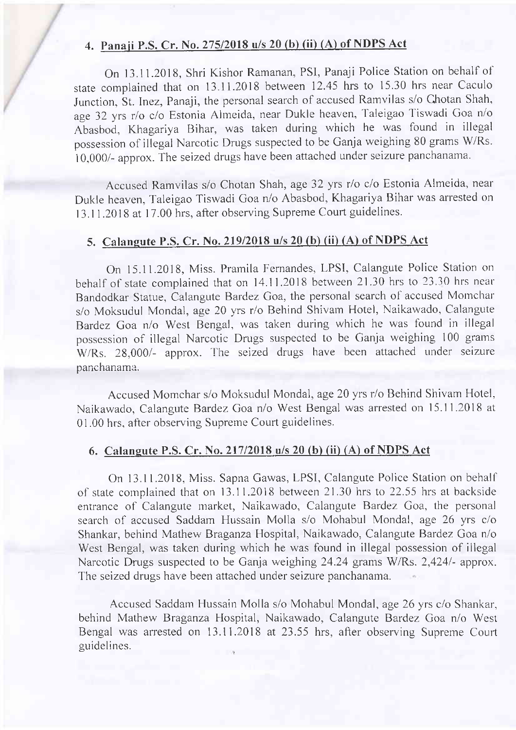# 4. Panaji P.S. Cr. No. 275/2018 u/s 20 (b) (ii) (A) of NDPS Act

On 13.11.2018, Shri Kishor Ramanan, PSl, Panaji Police Station on behalf of state complained that on 13.11.2018 between 12.45 hrs to 15.30 hrs near Caculo Junction, St. Inez, Panaji, the personal search of accused Ramvilas s/o Chotan Shah, age 32 yrs r/o c/o Estonia Almeida, near Dukle heaven, Taleigao Tiswadi Goa n/o Abasbod, Khagariya Bihar, was taken during which he was found in illegal possession of illegal Narcotic Drugs suspected to be Ganja weighing 80 grams W/Rs. 10,000/- approx. The seized drugs have been attached under seizure panchanama.

Accused Ramvilas s/o Chotan Shah, age 32 yrs r/o c/o Estonia Almeida, near Dukle heaven, Taleigao Tiswadi Goa n/o Abasbod, Khagariya Bihar was arrested on 13.11.2018 at 17.00 hrs, after observing Supreme Court guidelines.

# 5. Calangute P.S. Cr. No. 219/2018 u/s 20 (b) (ii) (A) of NDPS Act

On 15.11.2018, Miss. Pramila Fernandes, LPSI, Calangute Police Station on behalf of state complained that on 14.11.2018 between 21.30 hrs to 23.30 hrs ncar Bandodkar Statue, Calangute Bardez Goa, the personal search of accused Momchar s/o Moksudul Mondal, age 20 yrs r/o Behind Shivam Hotel, Naikawado, Calangute Bardez Goa n/o West Bengal, was taken during which he was found in illegal possession of illegal Narcotic Drugs suspected to be Ganja weighing 100 grams W/Rs. 28,000/- approx. The seized drugs have been attached under seizure panchanama.

Accused Momchar s/o Moksudul Mondal, age 20 yrs r/o Behind Shivam Hotel, Naikawado, Calangute Bardez Goa n/o West Bengal was arrested on 15.11.2018 at 01.00 hrs, after observing Supreme Court guidelines.

#### 6. Calaneute P.S. Cr. No. 21712018 u/s 20 (b) (ii) (A) of NDPS Act

On 13.11.2018, Miss. Sapna Gawas, LPSI, Calangute Police Station on behall' of state cornplained that on 13.11.2018 between 21.30 hrs to 22.55 hrs at backside entrance of Calangute market, Naikawado, Calangute Bardez Goa, the personal search of accused Saddam Hussain Molla s/o Mohabul Mondal, age 26 yrs c/o Shankar, behind Mathew Braganza Hospital, Naikawado, Calangute Bardez Goa n/o West Bengal, was taken during which he was found in illegal possession of illegal Narcotic Drugs suspected to be Ganja weighing 24.24 grams W/Rs. 2,424/- approx. The seized drugs have been attached under seizure panchanama.

Accused Saddam Hussain Molla s/o Mohabul Mondal, age 26 yrs c/o Shankar, behind Mathew Braganza Hospital, Naikawado, Calangute Bardez Goa n/o West Bengal was arrested on 13.11.2018 at 23.55 hrs, after observing Supreme Court guidelines.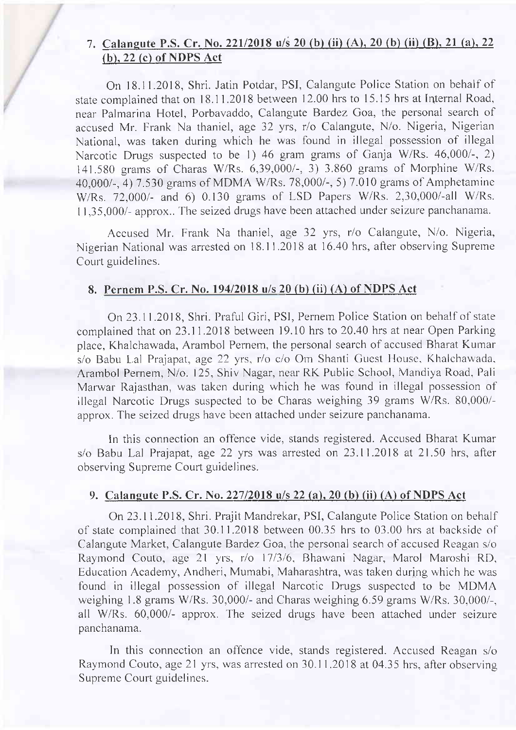# 7. Calangute P.S. Cr. No. 221/2018 u/s 20 (b) (ii) (A), 20 (b) (ii) (B), 21 (a), 22 (b). 22 (c) of NDPS Act

On 18.11.2018, Shri. Jatin Potdar, PSI, Calangute Police Station on behalf of state complained that on 18.11.2018 between 12.00 hrs to 15.15 hrs at Internal Road, near Palmarina Hotel, Porbavaddo, Calangute Bardez Goa, the personal search of accused Mr. Frank Na thaniel, age 32 yrs, r/o Calangute, N/o. Nigeria, Nigerian National, was taken during which he was found in illegal possession of illegal Narcotic Drugs suspected to be 1) 46 gram grams of Ganja W/Rs. 46,000/-, 2) 141.580 grarns of Charas W/Rs. 6,39,000/-, 3) 3.860 graus of Morphine W/Rs. 40,000/-, 4)7.530 grarns of MDMA W/Rs.78,000/-,5) 7.010 grarns of Amphetaminc W/Rs. 72,000/- and 6) 0.130 grams of LSD Papers W/Rs. 2,30,000/-all W/Rs. <sup>I</sup>1,35,000/- approx.. 'fhe seized drugs have been attached under seizure panchanama.

Accused Mr. Frank Na thaniel, age 32 yrs, r/o Calangute, N/o. Nigeria, Nigerian National was arrested on l8.l 1.2018 at 16.40 hrs, after observing Suprerne Court guidelines.

# 8. Pernem P.S. Cr. No. 194/2018 u/s 20 (b) (ii) (A) of NDPS Act

On 23.11.2018, Shri. Praful Giri, PSI, Pernem Police Station on behalf of state complained that on 23.11.2018 between 19.10 hrs to 20.40 hrs at near Open Parking place, Khalchawada, Arambol Pemem, the personal search of accused Bharat Kumar s/o Babu Lal Prajapat, age 22 yrs, r/o c/o Om Shanti Guest House, Khalchawada, Arambol Pernem, N/o. 125, Shiv Nagar, near RK Public School, Mandiya Road, Pali Marwar Rajasthan, was taken during which he was found in illegal possession of illegal Narcotic Drugs suspected to be Charas weighing 39 grams W/Rs. 80,000/approx. The seized drugs have been attached under seizure panchanama

In this connection an offence vide, stands registered. Accused Bharat Kumar s/o Babu Lal Prajapat, age 22 yrs was arrested on 23.11.2018 at 21.50 hrs, after observing Suprerne Court guidelines.

## 9. Calaneute P.S. Cr. No. 22712018 u/s 22 (a), 20 (b) (ii) (A) of NDPS Act

On 23.11.2018, Shri. Prajit Mandrekar, PSI, Calangute Police Station on behalf of state complained that  $30.11.2018$  between  $00.35$  hrs to  $03.00$  hrs at backside of Calangute Market, Calangute Bardez Goa, the personal search of accused Reagan s/o Raymond Couto, age 21 yrs, r/o 17/3/6, Bhawani Nagar, Marol Maroshi RD, Education Academy, Andheri, Mumabi, Maharashtra, was taken during which hc was found in illegal possession of illegal Narcotic Drugs suspected to be MDMA weighing 1.8 grams W/Rs. 30,000/- and Charas weighing 6.59 grams W/Rs. 30,000/-, all W/Rs. 60,000/- approx. The seized drugs have been attached under seizure panchanama.

In this connection an offence vide, stands registered. Accused Reagan s/o Rayrnond Couto, age 21 yrs, was arrested on 30.1 1.2018 at 04.35 hrs, afier observing Supreme Court guidelines.